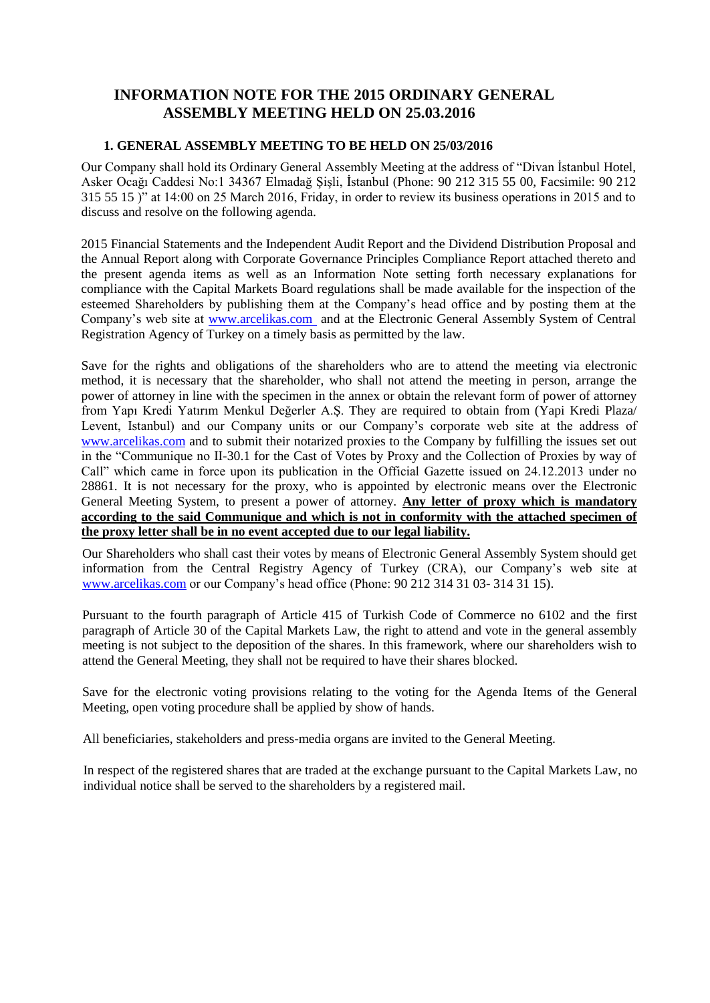# **INFORMATION NOTE FOR THE 2015 ORDINARY GENERAL ASSEMBLY MEETING HELD ON 25.03.2016**

#### **1. GENERAL ASSEMBLY MEETING TO BE HELD ON 25/03/2016**

Our Company shall hold its Ordinary General Assembly Meeting at the address of "Divan İstanbul Hotel, Asker Ocağı Caddesi No:1 34367 Elmadağ Şişli, İstanbul (Phone: 90 212 315 55 00, Facsimile: 90 212 315 55 15 )" at 14:00 on 25 March 2016, Friday, in order to review its business operations in 2015 and to discuss and resolve on the following agenda.

2015 Financial Statements and the Independent Audit Report and the Dividend Distribution Proposal and the Annual Report along with Corporate Governance Principles Compliance Report attached thereto and the present agenda items as well as an Information Note setting forth necessary explanations for compliance with the Capital Markets Board regulations shall be made available for the inspection of the esteemed Shareholders by publishing them at the Company's head office and by posting them at the Company's web site at [www.arcelikas.com](http://www.arcelikas.com/) and at the Electronic General Assembly System of Central Registration Agency of Turkey on a timely basis as permitted by the law.

Save for the rights and obligations of the shareholders who are to attend the meeting via electronic method, it is necessary that the shareholder, who shall not attend the meeting in person, arrange the power of attorney in line with the specimen in the annex or obtain the relevant form of power of attorney from Yapı Kredi Yatırım Menkul Değerler A.Ş. They are required to obtain from (Yapi Kredi Plaza/ Levent, Istanbul) and our Company units or our Company's corporate web site at the address of [www.arcelikas.com](http://www.arcelikas.com/) and to submit their notarized proxies to the Company by fulfilling the issues set out in the "Communique no II-30.1 for the Cast of Votes by Proxy and the Collection of Proxies by way of Call" which came in force upon its publication in the Official Gazette issued on 24.12.2013 under no 28861. It is not necessary for the proxy, who is appointed by electronic means over the Electronic General Meeting System, to present a power of attorney. **Any letter of proxy which is mandatory according to the said Communique and which is not in conformity with the attached specimen of the proxy letter shall be in no event accepted due to our legal liability.**

Our Shareholders who shall cast their votes by means of Electronic General Assembly System should get information from the Central Registry Agency of Turkey (CRA), our Company's web site at [www.arcelikas.com](http://www.arcelikas.com/) or our Company's head office (Phone: 90 212 314 31 03- 314 31 15).

Pursuant to the fourth paragraph of Article 415 of Turkish Code of Commerce no 6102 and the first paragraph of Article 30 of the Capital Markets Law, the right to attend and vote in the general assembly meeting is not subject to the deposition of the shares. In this framework, where our shareholders wish to attend the General Meeting, they shall not be required to have their shares blocked.

Save for the electronic voting provisions relating to the voting for the Agenda Items of the General Meeting, open voting procedure shall be applied by show of hands.

All beneficiaries, stakeholders and press-media organs are invited to the General Meeting.

In respect of the registered shares that are traded at the exchange pursuant to the Capital Markets Law, no individual notice shall be served to the shareholders by a registered mail.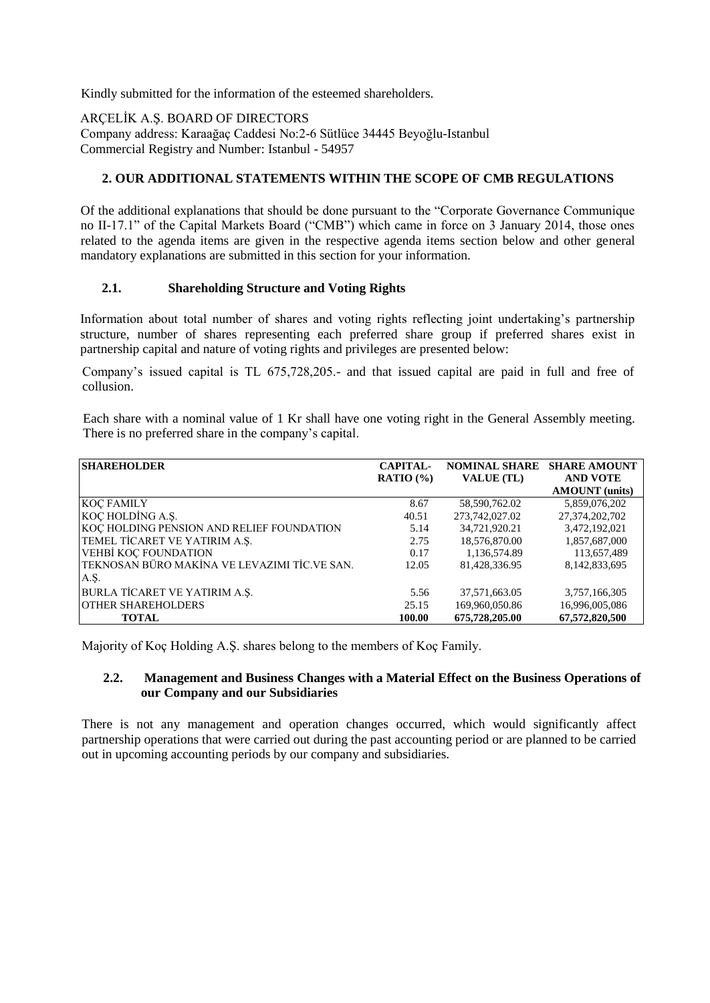Kindly submitted for the information of the esteemed shareholders.

ARÇELİK A.Ş. BOARD OF DIRECTORS

Company address: Karaağaç Caddesi No:2-6 Sütlüce 34445 Beyoğlu-Istanbul Commercial Registry and Number: Istanbul - 54957

#### **2. OUR ADDITIONAL STATEMENTS WITHIN THE SCOPE OF CMB REGULATIONS**

Of the additional explanations that should be done pursuant to the "Corporate Governance Communique no II-17.1" of the Capital Markets Board ("CMB") which came in force on 3 January 2014, those ones related to the agenda items are given in the respective agenda items section below and other general mandatory explanations are submitted in this section for your information.

#### **2.1. Shareholding Structure and Voting Rights**

Information about total number of shares and voting rights reflecting joint undertaking's partnership structure, number of shares representing each preferred share group if preferred shares exist in partnership capital and nature of voting rights and privileges are presented below:

Company's issued capital is TL 675,728,205.- and that issued capital are paid in full and free of collusion.

Each share with a nominal value of 1 Kr shall have one voting right in the General Assembly meeting. There is no preferred share in the company's capital.

| <b>SHAREHOLDER</b>                           | <b>CAPITAL-</b> | <b>NOMINAL SHARE</b> | <b>SHARE AMOUNT</b>   |
|----------------------------------------------|-----------------|----------------------|-----------------------|
|                                              | RATIO $(%)$     | <b>VALUE</b> (TL)    | <b>AND VOTE</b>       |
|                                              |                 |                      | <b>AMOUNT</b> (units) |
| <b>KOC FAMILY</b>                            | 8.67            | 58,590,762.02        | 5,859,076,202         |
| KOÇ HOLDİNG A.Ş.                             | 40.51           | 273,742,027.02       | 27,374,202,702        |
| KOÇ HOLDING PENSION AND RELIEF FOUNDATION    | 5.14            | 34.721.920.21        | 3,472,192,021         |
| TEMEL TİCARET VE YATIRIM A.Ş.                | 2.75            | 18,576,870.00        | 1,857,687,000         |
| <b>VEHBİ KOÇ FOUNDATION</b>                  | 0.17            | 1,136,574.89         | 113,657,489           |
| TEKNOSAN BÜRO MAKİNA VE LEVAZIMI TİC.VE SAN. | 12.05           | 81.428.336.95        | 8,142,833,695         |
| A.Ş.                                         |                 |                      |                       |
| BURLA TİCARET VE YATIRIM A.Ş.                | 5.56            | 37,571,663.05        | 3,757,166,305         |
| <b>OTHER SHAREHOLDERS</b>                    | 25.15           | 169,960,050.86       | 16,996,005,086        |
| <b>TOTAL</b>                                 | 100.00          | 675,728,205.00       | 67,572,820,500        |

Majority of Koç Holding A.Ş. shares belong to the members of Koç Family.

#### **2.2. Management and Business Changes with a Material Effect on the Business Operations of our Company and our Subsidiaries**

There is not any management and operation changes occurred, which would significantly affect partnership operations that were carried out during the past accounting period or are planned to be carried out in upcoming accounting periods by our company and subsidiaries.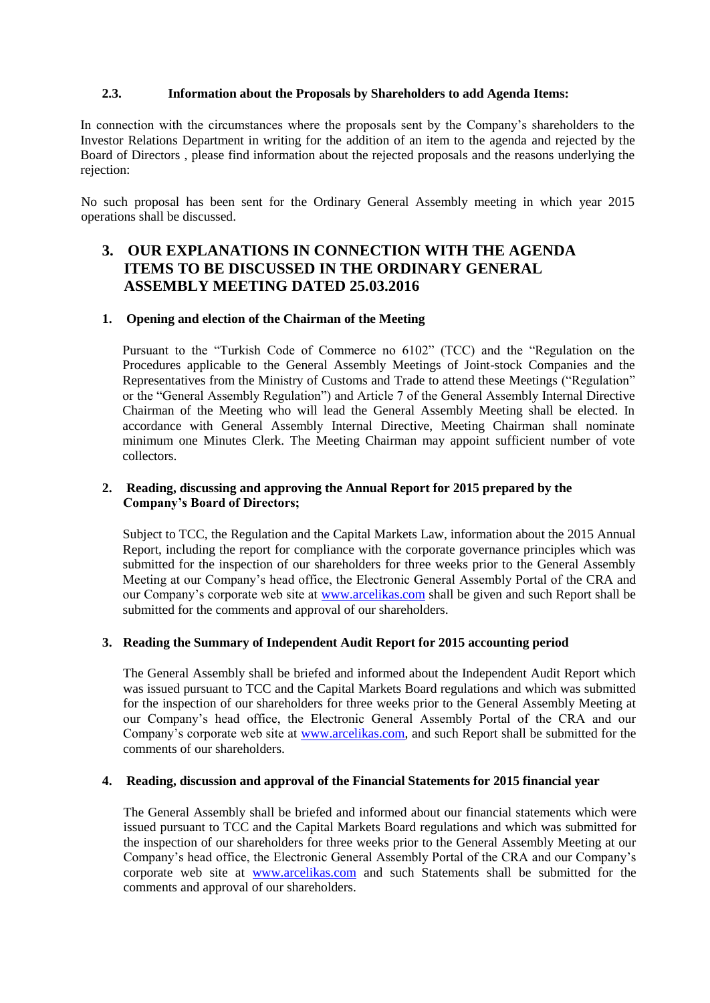#### **2.3. Information about the Proposals by Shareholders to add Agenda Items:**

In connection with the circumstances where the proposals sent by the Company's shareholders to the Investor Relations Department in writing for the addition of an item to the agenda and rejected by the Board of Directors , please find information about the rejected proposals and the reasons underlying the rejection:

No such proposal has been sent for the Ordinary General Assembly meeting in which year 2015 operations shall be discussed.

# **3. OUR EXPLANATIONS IN CONNECTION WITH THE AGENDA ITEMS TO BE DISCUSSED IN THE ORDINARY GENERAL ASSEMBLY MEETING DATED 25.03.2016**

#### **1. Opening and election of the Chairman of the Meeting**

Pursuant to the "Turkish Code of Commerce no 6102" (TCC) and the "Regulation on the Procedures applicable to the General Assembly Meetings of Joint-stock Companies and the Representatives from the Ministry of Customs and Trade to attend these Meetings ("Regulation" or the "General Assembly Regulation") and Article 7 of the General Assembly Internal Directive Chairman of the Meeting who will lead the General Assembly Meeting shall be elected. In accordance with General Assembly Internal Directive, Meeting Chairman shall nominate minimum one Minutes Clerk. The Meeting Chairman may appoint sufficient number of vote collectors.

#### **2. Reading, discussing and approving the Annual Report for 2015 prepared by the Company's Board of Directors;**

Subject to TCC, the Regulation and the Capital Markets Law, information about the 2015 Annual Report, including the report for compliance with the corporate governance principles which was submitted for the inspection of our shareholders for three weeks prior to the General Assembly Meeting at our Company's head office, the Electronic General Assembly Portal of the CRA and our Company's corporate web site at [www.arcelikas.com](http://www.arcelikas.com/) shall be given and such Report shall be submitted for the comments and approval of our shareholders.

#### **3. Reading the Summary of Independent Audit Report for 2015 accounting period**

The General Assembly shall be briefed and informed about the Independent Audit Report which was issued pursuant to TCC and the Capital Markets Board regulations and which was submitted for the inspection of our shareholders for three weeks prior to the General Assembly Meeting at our Company's head office, the Electronic General Assembly Portal of the CRA and our Company's corporate web site at [www.arcelikas.com,](http://www.arcelikas.com/) and such Report shall be submitted for the comments of our shareholders.

#### **4. Reading, discussion and approval of the Financial Statements for 2015 financial year**

The General Assembly shall be briefed and informed about our financial statements which were issued pursuant to TCC and the Capital Markets Board regulations and which was submitted for the inspection of our shareholders for three weeks prior to the General Assembly Meeting at our Company's head office, the Electronic General Assembly Portal of the CRA and our Company's corporate web site at [www.arcelikas.com](http://www.arcelikas.com/) and such Statements shall be submitted for the comments and approval of our shareholders.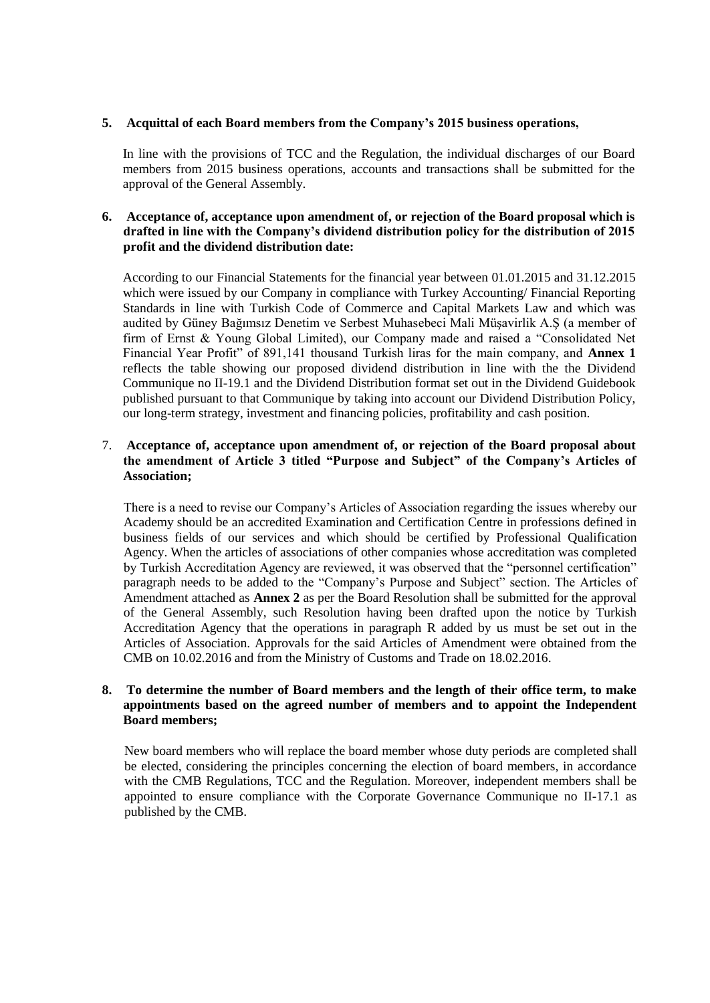#### **5. Acquittal of each Board members from the Company's 2015 business operations,**

In line with the provisions of TCC and the Regulation, the individual discharges of our Board members from 2015 business operations, accounts and transactions shall be submitted for the approval of the General Assembly.

#### **6. Acceptance of, acceptance upon amendment of, or rejection of the Board proposal which is drafted in line with the Company's dividend distribution policy for the distribution of 2015 profit and the dividend distribution date:**

According to our Financial Statements for the financial year between 01.01.2015 and 31.12.2015 which were issued by our Company in compliance with Turkey Accounting/ Financial Reporting Standards in line with Turkish Code of Commerce and Capital Markets Law and which was audited by Güney Bağımsız Denetim ve Serbest Muhasebeci Mali Müşavirlik A.Ş (a member of firm of Ernst & Young Global Limited), our Company made and raised a "Consolidated Net Financial Year Profit" of 891,141 thousand Turkish liras for the main company, and **Annex 1**  reflects the table showing our proposed dividend distribution in line with the the Dividend Communique no II-19.1 and the Dividend Distribution format set out in the Dividend Guidebook published pursuant to that Communique by taking into account our Dividend Distribution Policy, our long-term strategy, investment and financing policies, profitability and cash position.

#### 7. **Acceptance of, acceptance upon amendment of, or rejection of the Board proposal about the amendment of Article 3 titled "Purpose and Subject" of the Company's Articles of Association;**

There is a need to revise our Company's Articles of Association regarding the issues whereby our Academy should be an accredited Examination and Certification Centre in professions defined in business fields of our services and which should be certified by Professional Qualification Agency. When the articles of associations of other companies whose accreditation was completed by Turkish Accreditation Agency are reviewed, it was observed that the "personnel certification" paragraph needs to be added to the "Company's Purpose and Subject" section. The Articles of Amendment attached as **Annex 2** as per the Board Resolution shall be submitted for the approval of the General Assembly, such Resolution having been drafted upon the notice by Turkish Accreditation Agency that the operations in paragraph R added by us must be set out in the Articles of Association. Approvals for the said Articles of Amendment were obtained from the CMB on 10.02.2016 and from the Ministry of Customs and Trade on 18.02.2016.

#### **8. To determine the number of Board members and the length of their office term, to make appointments based on the agreed number of members and to appoint the Independent Board members;**

New board members who will replace the board member whose duty periods are completed shall be elected, considering the principles concerning the election of board members, in accordance with the CMB Regulations, TCC and the Regulation. Moreover, independent members shall be appointed to ensure compliance with the Corporate Governance Communique no II-17.1 as published by the CMB.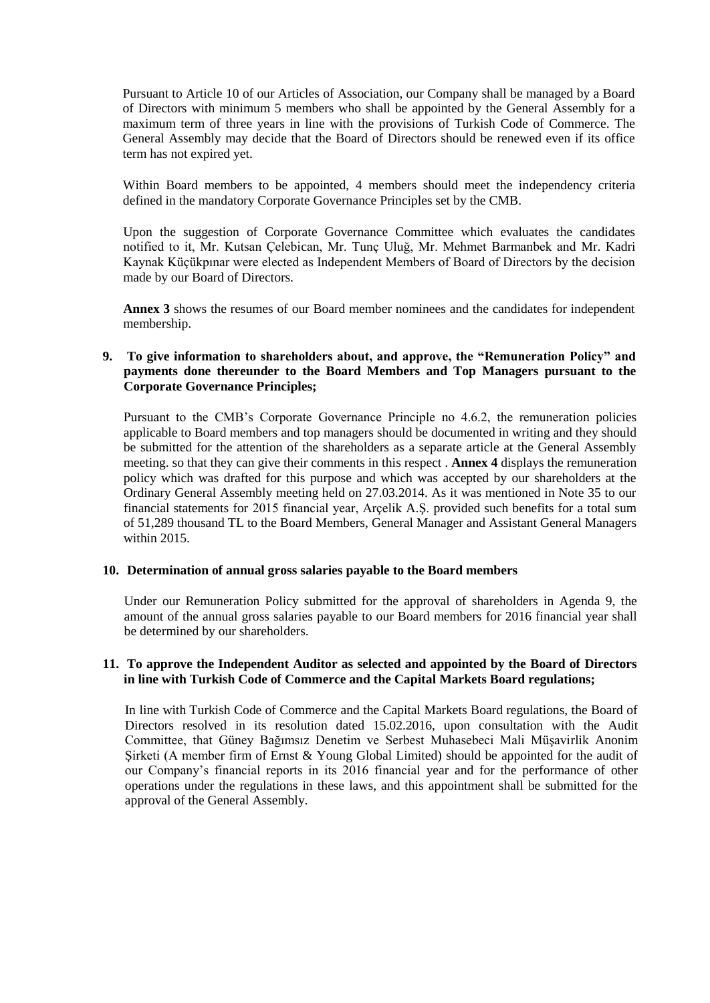Pursuant to Article 10 of our Articles of Association, our Company shall be managed by a Board of Directors with minimum 5 members who shall be appointed by the General Assembly for a maximum term of three years in line with the provisions of Turkish Code of Commerce. The General Assembly may decide that the Board of Directors should be renewed even if its office term has not expired yet.

Within Board members to be appointed, 4 members should meet the independency criteria defined in the mandatory Corporate Governance Principles set by the CMB.

Upon the suggestion of Corporate Governance Committee which evaluates the candidates notified to it, Mr. Kutsan Çelebican, Mr. Tunç Uluğ, Mr. Mehmet Barmanbek and Mr. Kadri Kaynak Küçükpınar were elected as Independent Members of Board of Directors by the decision made by our Board of Directors.

**Annex 3** shows the resumes of our Board member nominees and the candidates for independent membership.

#### **9. To give information to shareholders about, and approve, the "Remuneration Policy" and payments done thereunder to the Board Members and Top Managers pursuant to the Corporate Governance Principles;**

Pursuant to the CMB's Corporate Governance Principle no 4.6.2, the remuneration policies applicable to Board members and top managers should be documented in writing and they should be submitted for the attention of the shareholders as a separate article at the General Assembly meeting. so that they can give their comments in this respect . **Annex 4** displays the remuneration policy which was drafted for this purpose and which was accepted by our shareholders at the Ordinary General Assembly meeting held on 27.03.2014. As it was mentioned in Note 35 to our financial statements for 2015 financial year, Arçelik A.Ş. provided such benefits for a total sum of 51,289 thousand TL to the Board Members, General Manager and Assistant General Managers within 2015.

#### **10. Determination of annual gross salaries payable to the Board members**

Under our Remuneration Policy submitted for the approval of shareholders in Agenda 9, the amount of the annual gross salaries payable to our Board members for 2016 financial year shall be determined by our shareholders.

#### **11. To approve the Independent Auditor as selected and appointed by the Board of Directors in line with Turkish Code of Commerce and the Capital Markets Board regulations;**

In line with Turkish Code of Commerce and the Capital Markets Board regulations, the Board of Directors resolved in its resolution dated 15.02.2016, upon consultation with the Audit Committee, that Güney Bağımsız Denetim ve Serbest Muhasebeci Mali Müşavirlik Anonim Şirketi (A member firm of Ernst & Young Global Limited) should be appointed for the audit of our Company's financial reports in its 2016 financial year and for the performance of other operations under the regulations in these laws, and this appointment shall be submitted for the approval of the General Assembly.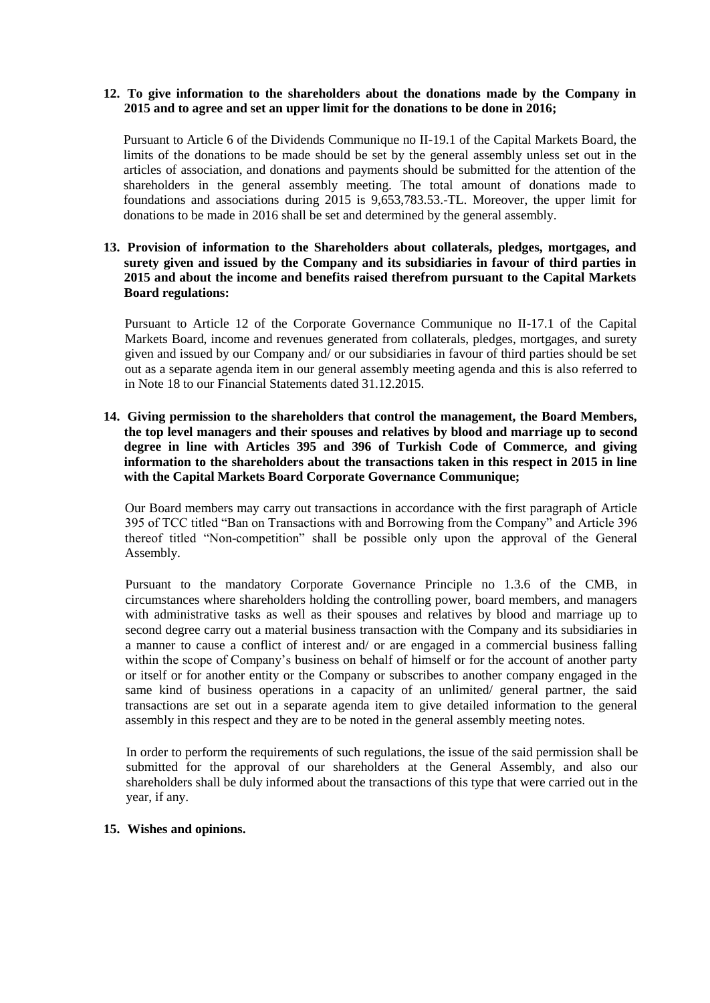#### **12. To give information to the shareholders about the donations made by the Company in 2015 and to agree and set an upper limit for the donations to be done in 2016;**

Pursuant to Article 6 of the Dividends Communique no II-19.1 of the Capital Markets Board, the limits of the donations to be made should be set by the general assembly unless set out in the articles of association, and donations and payments should be submitted for the attention of the shareholders in the general assembly meeting. The total amount of donations made to foundations and associations during 2015 is 9,653,783.53.-TL. Moreover, the upper limit for donations to be made in 2016 shall be set and determined by the general assembly.

#### **13. Provision of information to the Shareholders about collaterals, pledges, mortgages, and surety given and issued by the Company and its subsidiaries in favour of third parties in 2015 and about the income and benefits raised therefrom pursuant to the Capital Markets Board regulations:**

Pursuant to Article 12 of the Corporate Governance Communique no II-17.1 of the Capital Markets Board, income and revenues generated from collaterals, pledges, mortgages, and surety given and issued by our Company and/ or our subsidiaries in favour of third parties should be set out as a separate agenda item in our general assembly meeting agenda and this is also referred to in Note 18 to our Financial Statements dated 31.12.2015.

**14. Giving permission to the shareholders that control the management, the Board Members, the top level managers and their spouses and relatives by blood and marriage up to second degree in line with Articles 395 and 396 of Turkish Code of Commerce, and giving information to the shareholders about the transactions taken in this respect in 2015 in line with the Capital Markets Board Corporate Governance Communique;**

Our Board members may carry out transactions in accordance with the first paragraph of Article 395 of TCC titled "Ban on Transactions with and Borrowing from the Company" and Article 396 thereof titled "Non-competition" shall be possible only upon the approval of the General Assembly.

Pursuant to the mandatory Corporate Governance Principle no 1.3.6 of the CMB, in circumstances where shareholders holding the controlling power, board members, and managers with administrative tasks as well as their spouses and relatives by blood and marriage up to second degree carry out a material business transaction with the Company and its subsidiaries in a manner to cause a conflict of interest and/ or are engaged in a commercial business falling within the scope of Company's business on behalf of himself or for the account of another party or itself or for another entity or the Company or subscribes to another company engaged in the same kind of business operations in a capacity of an unlimited/ general partner, the said transactions are set out in a separate agenda item to give detailed information to the general assembly in this respect and they are to be noted in the general assembly meeting notes.

In order to perform the requirements of such regulations, the issue of the said permission shall be submitted for the approval of our shareholders at the General Assembly, and also our shareholders shall be duly informed about the transactions of this type that were carried out in the year, if any.

#### **15. Wishes and opinions.**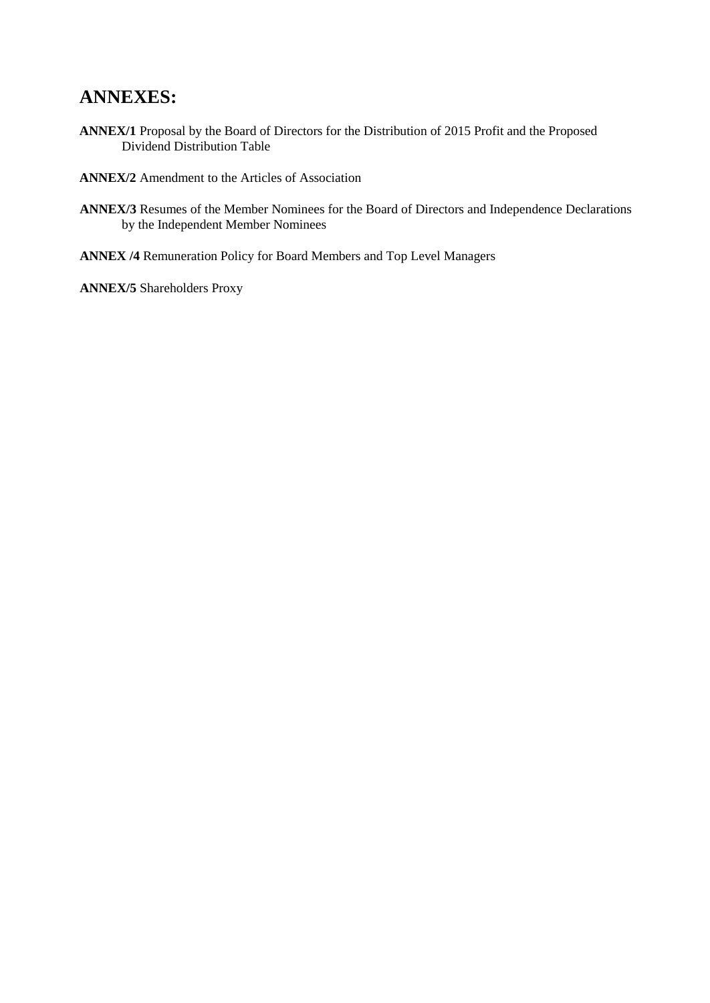# **ANNEXES:**

**ANNEX/1** Proposal by the Board of Directors for the Distribution of 2015 Profit and the Proposed Dividend Distribution Table

**ANNEX/2** Amendment to the Articles of Association

- **ANNEX/3** Resumes of the Member Nominees for the Board of Directors and Independence Declarations by the Independent Member Nominees
- **ANNEX /4** Remuneration Policy for Board Members and Top Level Managers

**ANNEX/5** Shareholders Proxy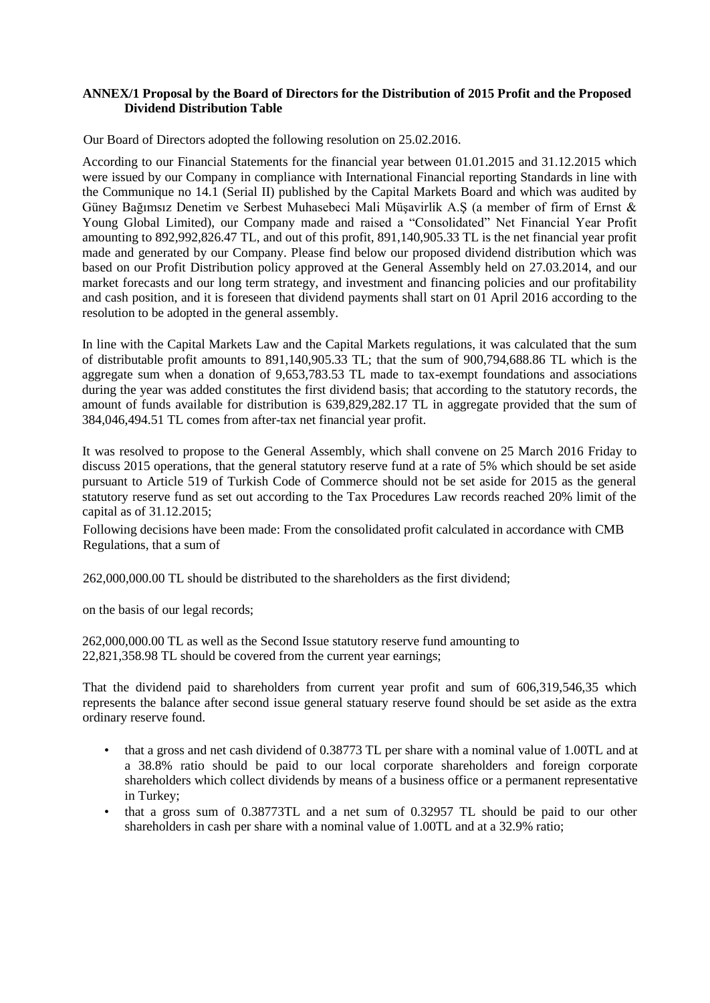#### **ANNEX/1 Proposal by the Board of Directors for the Distribution of 2015 Profit and the Proposed Dividend Distribution Table**

Our Board of Directors adopted the following resolution on 25.02.2016.

According to our Financial Statements for the financial year between 01.01.2015 and 31.12.2015 which were issued by our Company in compliance with International Financial reporting Standards in line with the Communique no 14.1 (Serial II) published by the Capital Markets Board and which was audited by Güney Bağımsız Denetim ve Serbest Muhasebeci Mali Müşavirlik A.Ş (a member of firm of Ernst & Young Global Limited), our Company made and raised a "Consolidated" Net Financial Year Profit amounting to 892,992,826.47 TL, and out of this profit, 891,140,905.33 TL is the net financial year profit made and generated by our Company. Please find below our proposed dividend distribution which was based on our Profit Distribution policy approved at the General Assembly held on 27.03.2014, and our market forecasts and our long term strategy, and investment and financing policies and our profitability and cash position, and it is foreseen that dividend payments shall start on 01 April 2016 according to the resolution to be adopted in the general assembly.

In line with the Capital Markets Law and the Capital Markets regulations, it was calculated that the sum of distributable profit amounts to 891,140,905.33 TL; that the sum of 900,794,688.86 TL which is the aggregate sum when a donation of 9,653,783.53 TL made to tax-exempt foundations and associations during the year was added constitutes the first dividend basis; that according to the statutory records, the amount of funds available for distribution is 639,829,282.17 TL in aggregate provided that the sum of 384,046,494.51 TL comes from after-tax net financial year profit.

It was resolved to propose to the General Assembly, which shall convene on 25 March 2016 Friday to discuss 2015 operations, that the general statutory reserve fund at a rate of 5% which should be set aside pursuant to Article 519 of Turkish Code of Commerce should not be set aside for 2015 as the general statutory reserve fund as set out according to the Tax Procedures Law records reached 20% limit of the capital as of 31.12.2015;

Following decisions have been made: From the consolidated profit calculated in accordance with CMB Regulations, that a sum of

262,000,000.00 TL should be distributed to the shareholders as the first dividend;

on the basis of our legal records;

262,000,000.00 TL as well as the Second Issue statutory reserve fund amounting to 22,821,358.98 TL should be covered from the current year earnings;

That the dividend paid to shareholders from current year profit and sum of 606,319,546,35 which represents the balance after second issue general statuary reserve found should be set aside as the extra ordinary reserve found.

- that a gross and net cash dividend of 0.38773 TL per share with a nominal value of 1.00TL and at a 38.8% ratio should be paid to our local corporate shareholders and foreign corporate shareholders which collect dividends by means of a business office or a permanent representative in Turkey;
- that a gross sum of 0.38773TL and a net sum of 0.32957 TL should be paid to our other shareholders in cash per share with a nominal value of 1.00TL and at a 32.9% ratio;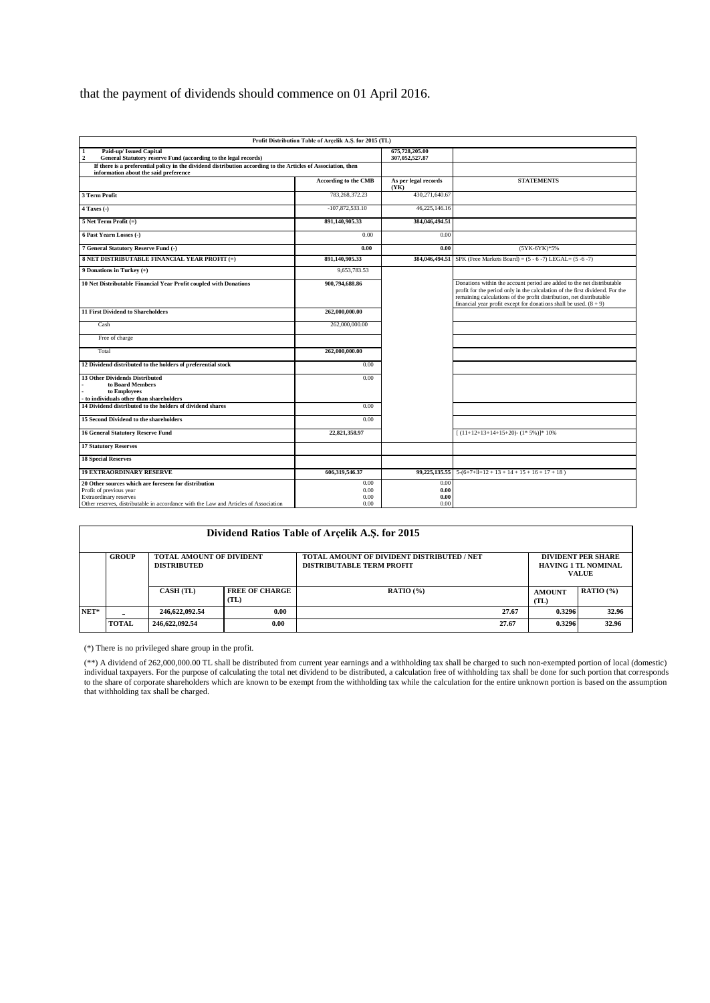# that the payment of dividends should commence on 01 April 2016.

|                                                                                                                                                                                                   | Profit Distribution Table of Arcelik A.S. for 2015 (TL) |                                  |                                                                                                                                                                                                                                                                                                       |
|---------------------------------------------------------------------------------------------------------------------------------------------------------------------------------------------------|---------------------------------------------------------|----------------------------------|-------------------------------------------------------------------------------------------------------------------------------------------------------------------------------------------------------------------------------------------------------------------------------------------------------|
| $\mathbf{1}$<br>Paid-up/ Issued Capital<br>$\overline{2}$<br>General Statutory reserve Fund (according to the legal records)                                                                      |                                                         | 675,728,205.00<br>307,052,527.87 |                                                                                                                                                                                                                                                                                                       |
| If there is a preferential policy in the dividend distribution according to the Articles of Association, then<br>information about the said preference                                            |                                                         |                                  |                                                                                                                                                                                                                                                                                                       |
|                                                                                                                                                                                                   | According to the CMB                                    | As per legal records<br>(YK)     | <b>STATEMENTS</b>                                                                                                                                                                                                                                                                                     |
| 3 Term Profit                                                                                                                                                                                     | 783, 268, 372, 23                                       | 430.271.640.67                   |                                                                                                                                                                                                                                                                                                       |
| 4 Taxes (-)                                                                                                                                                                                       | $-107,872,533.10$                                       | 46,225,146.16                    |                                                                                                                                                                                                                                                                                                       |
| $5$ Net Term Profit $(=)$                                                                                                                                                                         | 891,140,905.33                                          | 384,046,494.51                   |                                                                                                                                                                                                                                                                                                       |
| 6 Past Yearn Losses (-)                                                                                                                                                                           | 0.00                                                    | 0.00                             |                                                                                                                                                                                                                                                                                                       |
| 7 General Statutory Reserve Fund (-)                                                                                                                                                              | 0.00                                                    | 0.00                             | (5YK-6YK)*5%                                                                                                                                                                                                                                                                                          |
| 8 NET DISTRIBUTABLE FINANCIAL YEAR PROFIT (=)                                                                                                                                                     | 891,140,905.33                                          |                                  | 384,046,494.51 SPK (Free Markets Board) = $(5 - 6 - 7)$ LEGAL= $(5 - 6 - 7)$                                                                                                                                                                                                                          |
| 9 Donations in Turkey (+)                                                                                                                                                                         | 9,653,783.53                                            |                                  |                                                                                                                                                                                                                                                                                                       |
| 10 Net Distributable Financial Year Profit coupled with Donations                                                                                                                                 | 900,794,688.86                                          |                                  | Donations within the account period are added to the net distributable<br>profit for the period only in the calculation of the first dividend. For the<br>remaining calculations of the profit distribution, net distributable<br>financial year profit except for donations shall be used. $(8 + 9)$ |
| <b>11 First Dividend to Shareholders</b>                                                                                                                                                          | 262,000,000.00                                          |                                  |                                                                                                                                                                                                                                                                                                       |
| Cash                                                                                                                                                                                              | 262,000,000.00                                          |                                  |                                                                                                                                                                                                                                                                                                       |
| Free of charge                                                                                                                                                                                    |                                                         |                                  |                                                                                                                                                                                                                                                                                                       |
| Total                                                                                                                                                                                             | 262,000,000.00                                          |                                  |                                                                                                                                                                                                                                                                                                       |
| 12 Dividend distributed to the holders of preferential stock                                                                                                                                      | 0.00                                                    |                                  |                                                                                                                                                                                                                                                                                                       |
| 13 Other Dividends Distributed<br>to Board Members<br>to Employees<br>to individuals other than shareholders                                                                                      | 0.00                                                    |                                  |                                                                                                                                                                                                                                                                                                       |
| 14 Dividend distributed to the holders of dividend shares                                                                                                                                         | 0.00                                                    |                                  |                                                                                                                                                                                                                                                                                                       |
| 15 Second Dividend to the shareholders                                                                                                                                                            | 0.00                                                    |                                  |                                                                                                                                                                                                                                                                                                       |
| <b>16 General Statutory Reserve Fund</b>                                                                                                                                                          | 22,821,358.97                                           |                                  | $(11+12+13+14+15+20)-(1*5%)$ <sup>*</sup> 10%                                                                                                                                                                                                                                                         |
| <b>17 Statutory Reserves</b>                                                                                                                                                                      |                                                         |                                  |                                                                                                                                                                                                                                                                                                       |
| <b>18 Special Reserves</b>                                                                                                                                                                        |                                                         |                                  |                                                                                                                                                                                                                                                                                                       |
| <b>19 EXTRAORDINARY RESERVE</b>                                                                                                                                                                   | 606,319,546.37                                          | 99,225,135.55                    | $5-(6+7+11+12+13+14+15+16+17+18)$                                                                                                                                                                                                                                                                     |
| 20 Other sources which are foreseen for distribution<br>Profit of previous year<br>Extraordinary reserves<br>Other reserves, distributable in accordance with the Law and Articles of Association | 0.00<br>0.00<br>0.00<br>0.00                            | 0.00<br>0.00<br>0.00<br>0.00     |                                                                                                                                                                                                                                                                                                       |

| Dividend Ratios Table of Arcelik A.S. for 2015 |              |                                                       |                               |                                                                                |       |                                                                         |             |
|------------------------------------------------|--------------|-------------------------------------------------------|-------------------------------|--------------------------------------------------------------------------------|-------|-------------------------------------------------------------------------|-------------|
|                                                | <b>GROUP</b> | <b>TOTAL AMOUNT OF DIVIDENT</b><br><b>DISTRIBUTED</b> |                               | TOTAL AMOUNT OF DIVIDENT DISTRIBUTED / NET<br><b>DISTRIBUTABLE TERM PROFIT</b> |       | <b>DIVIDENT PER SHARE</b><br><b>HAVING 1 TL NOMINAL</b><br><b>VALUE</b> |             |
|                                                |              | <b>CASH (TL)</b>                                      | <b>FREE OF CHARGE</b><br>(TL) | RATIO $(%)$                                                                    |       | <b>AMOUNT</b><br>(TL)                                                   | RATIO $(%)$ |
| $NET*$                                         |              | 246.622.092.54                                        | 0.00                          |                                                                                | 27.67 | 0.3296                                                                  | 32.96       |
|                                                | <b>TOTAL</b> | 246,622,092.54                                        | 0.00                          |                                                                                | 27.67 | 0.3296                                                                  | 32.96       |

(\*) There is no privileged share group in the profit.

(\*\*) A dividend of 262,000,000.00 TL shall be distributed from current year earnings and a withholding tax shall be charged to such non-exempted portion of local (domestic) individual taxpayers. For the purpose of calculating the total net dividend to be distributed, a calculation free of withholding tax shall be done for such portion that corresponds to the share of corporate shareholders which are known to be exempt from the withholding tax while the calculation for the entire unknown portion is based on the assumption that withholding tax shall be charged.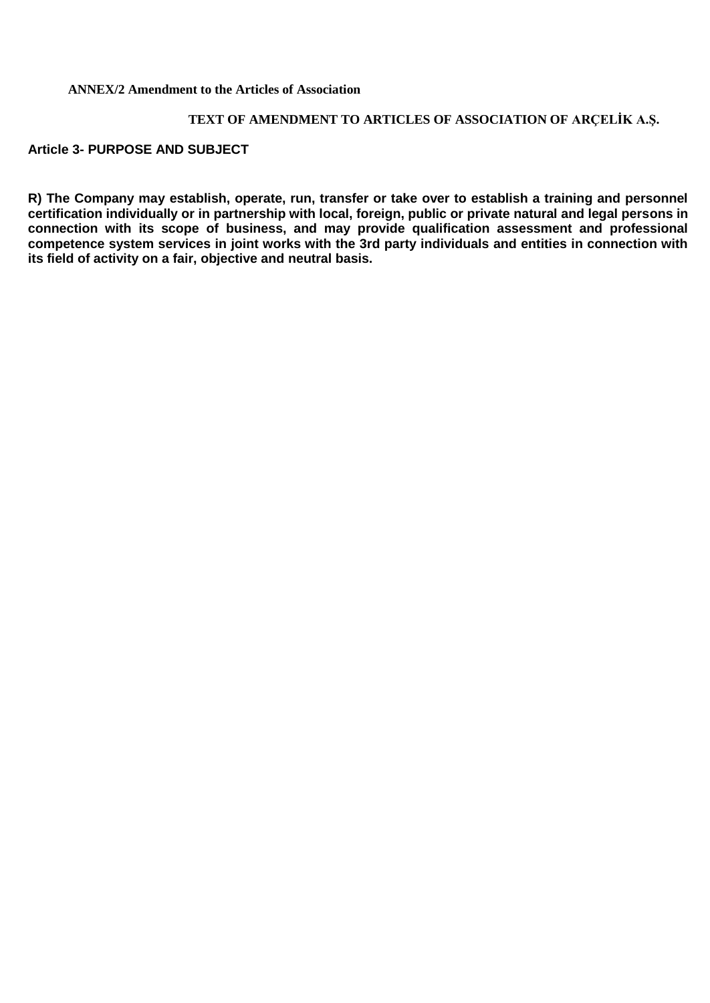#### **ANNEX/2 Amendment to the Articles of Association**

### **TEXT OF AMENDMENT TO ARTICLES OF ASSOCIATION OF ARÇELİK A.Ş.**

#### **Article 3- PURPOSE AND SUBJECT**

**R) The Company may establish, operate, run, transfer or take over to establish a training and personnel certification individually or in partnership with local, foreign, public or private natural and legal persons in connection with its scope of business, and may provide qualification assessment and professional competence system services in joint works with the 3rd party individuals and entities in connection with its field of activity on a fair, objective and neutral basis.**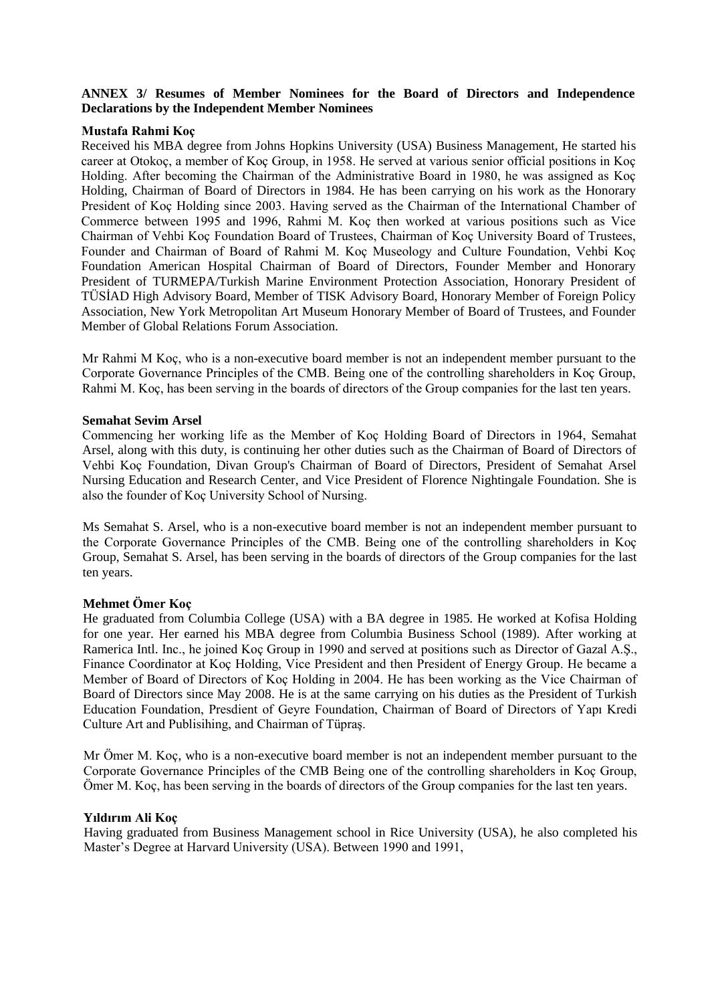#### **ANNEX 3/ Resumes of Member Nominees for the Board of Directors and Independence Declarations by the Independent Member Nominees**

#### **Mustafa Rahmi Koç**

Received his MBA degree from Johns Hopkins University (USA) Business Management, He started his career at Otokoç, a member of Koç Group, in 1958. He served at various senior official positions in Koç Holding. After becoming the Chairman of the Administrative Board in 1980, he was assigned as Koç Holding, Chairman of Board of Directors in 1984. He has been carrying on his work as the Honorary President of Koç Holding since 2003. Having served as the Chairman of the International Chamber of Commerce between 1995 and 1996, Rahmi M. Koç then worked at various positions such as Vice Chairman of Vehbi Koç Foundation Board of Trustees, Chairman of Koç University Board of Trustees, Founder and Chairman of Board of Rahmi M. Koç Museology and Culture Foundation, Vehbi Koç Foundation American Hospital Chairman of Board of Directors, Founder Member and Honorary President of TURMEPA/Turkish Marine Environment Protection Association, Honorary President of TÜSİAD High Advisory Board, Member of TISK Advisory Board, Honorary Member of Foreign Policy Association, New York Metropolitan Art Museum Honorary Member of Board of Trustees, and Founder Member of Global Relations Forum Association.

Mr Rahmi M Koç, who is a non-executive board member is not an independent member pursuant to the Corporate Governance Principles of the CMB. Being one of the controlling shareholders in Koç Group, Rahmi M. Koç, has been serving in the boards of directors of the Group companies for the last ten years.

#### **Semahat Sevim Arsel**

Commencing her working life as the Member of Koç Holding Board of Directors in 1964, Semahat Arsel, along with this duty, is continuing her other duties such as the Chairman of Board of Directors of Vehbi Koç Foundation, Divan Group's Chairman of Board of Directors, President of Semahat Arsel Nursing Education and Research Center, and Vice President of Florence Nightingale Foundation. She is also the founder of Koç University School of Nursing.

Ms Semahat S. Arsel, who is a non-executive board member is not an independent member pursuant to the Corporate Governance Principles of the CMB. Being one of the controlling shareholders in Koç Group, Semahat S. Arsel, has been serving in the boards of directors of the Group companies for the last ten years.

#### **Mehmet Ömer Koç**

He graduated from Columbia College (USA) with a BA degree in 1985. He worked at Kofisa Holding for one year. Her earned his MBA degree from Columbia Business School (1989). After working at Ramerica Intl. Inc., he joined Koç Group in 1990 and served at positions such as Director of Gazal A.Ş., Finance Coordinator at Koç Holding, Vice President and then President of Energy Group. He became a Member of Board of Directors of Koç Holding in 2004. He has been working as the Vice Chairman of Board of Directors since May 2008. He is at the same carrying on his duties as the President of Turkish Education Foundation, Presdient of Geyre Foundation, Chairman of Board of Directors of Yapı Kredi Culture Art and Publisihing, and Chairman of Tüpraş.

Mr Ömer M. Koç, who is a non-executive board member is not an independent member pursuant to the Corporate Governance Principles of the CMB Being one of the controlling shareholders in Koç Group, Ömer M. Koç, has been serving in the boards of directors of the Group companies for the last ten years.

#### **Yıldırım Ali Koç**

Having graduated from Business Management school in Rice University (USA), he also completed his Master's Degree at Harvard University (USA). Between 1990 and 1991,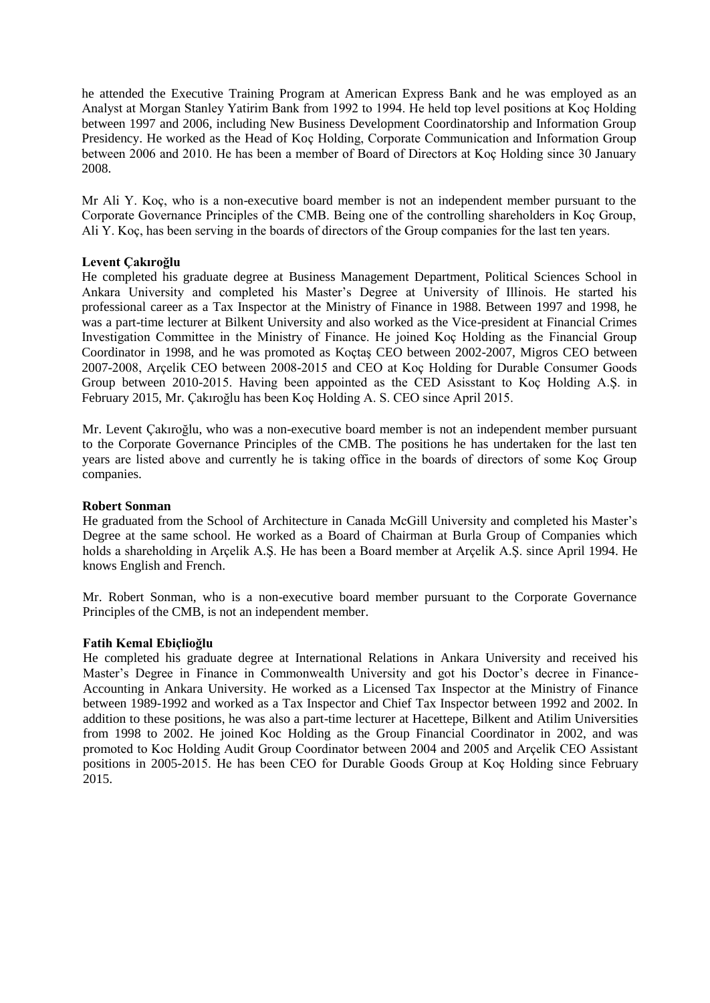he attended the Executive Training Program at American Express Bank and he was employed as an Analyst at Morgan Stanley Yatirim Bank from 1992 to 1994. He held top level positions at Koç Holding between 1997 and 2006, including New Business Development Coordinatorship and Information Group Presidency. He worked as the Head of Koç Holding, Corporate Communication and Information Group between 2006 and 2010. He has been a member of Board of Directors at Koç Holding since 30 January 2008.

Mr Ali Y. Koç, who is a non-executive board member is not an independent member pursuant to the Corporate Governance Principles of the CMB. Being one of the controlling shareholders in Koç Group, Ali Y. Koç, has been serving in the boards of directors of the Group companies for the last ten years.

#### **Levent Çakıroğlu**

He completed his graduate degree at Business Management Department, Political Sciences School in Ankara University and completed his Master's Degree at University of Illinois. He started his professional career as a Tax Inspector at the Ministry of Finance in 1988. Between 1997 and 1998, he was a part-time lecturer at Bilkent University and also worked as the Vice-president at Financial Crimes Investigation Committee in the Ministry of Finance. He joined Koç Holding as the Financial Group Coordinator in 1998, and he was promoted as Koçtaş CEO between 2002-2007, Migros CEO between 2007-2008, Arçelik CEO between 2008-2015 and CEO at Koç Holding for Durable Consumer Goods Group between 2010-2015. Having been appointed as the CED Asisstant to Koç Holding A.Ş. in February 2015, Mr. Çakıroğlu has been Koç Holding A. S. CEO since April 2015.

Mr. Levent Çakıroğlu, who was a non-executive board member is not an independent member pursuant to the Corporate Governance Principles of the CMB. The positions he has undertaken for the last ten years are listed above and currently he is taking office in the boards of directors of some Koç Group companies.

#### **Robert Sonman**

He graduated from the School of Architecture in Canada McGill University and completed his Master's Degree at the same school. He worked as a Board of Chairman at Burla Group of Companies which holds a shareholding in Arçelik A.Ş. He has been a Board member at Arçelik A.Ş. since April 1994. He knows English and French.

Mr. Robert Sonman, who is a non-executive board member pursuant to the Corporate Governance Principles of the CMB, is not an independent member.

#### **Fatih Kemal Ebiçlioğlu**

He completed his graduate degree at International Relations in Ankara University and received his Master's Degree in Finance in Commonwealth University and got his Doctor's decree in Finance-Accounting in Ankara University. He worked as a Licensed Tax Inspector at the Ministry of Finance between 1989-1992 and worked as a Tax Inspector and Chief Tax Inspector between 1992 and 2002. In addition to these positions, he was also a part-time lecturer at Hacettepe, Bilkent and Atilim Universities from 1998 to 2002. He joined Koc Holding as the Group Financial Coordinator in 2002, and was promoted to Koc Holding Audit Group Coordinator between 2004 and 2005 and Arçelik CEO Assistant positions in 2005-2015. He has been CEO for Durable Goods Group at Koç Holding since February 2015.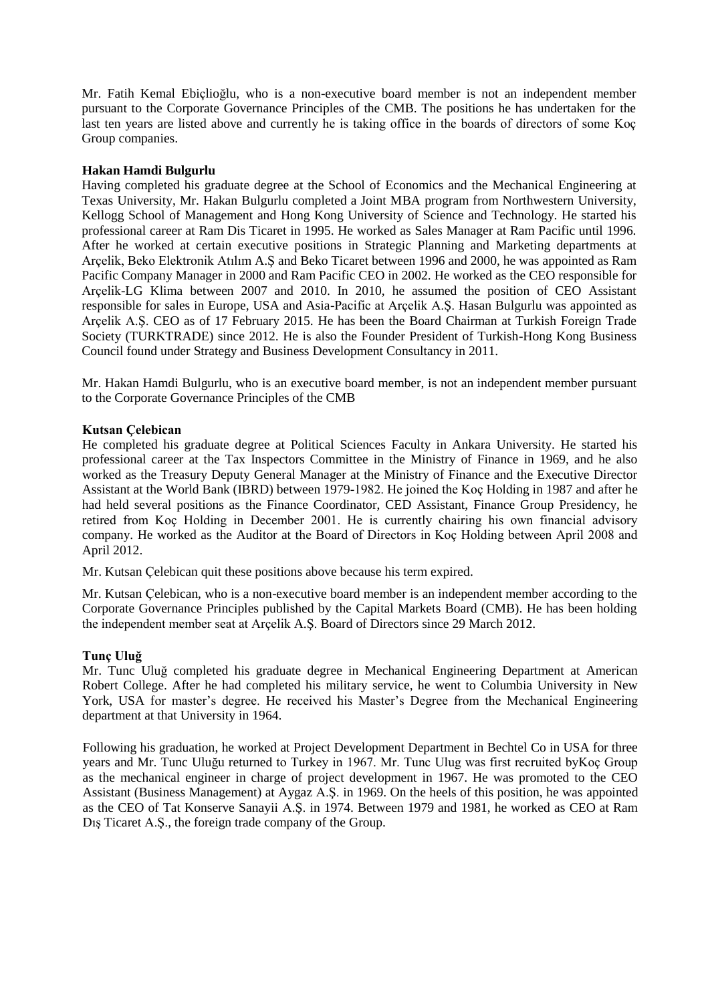Mr. Fatih Kemal Ebiçlioğlu, who is a non-executive board member is not an independent member pursuant to the Corporate Governance Principles of the CMB. The positions he has undertaken for the last ten years are listed above and currently he is taking office in the boards of directors of some Koç Group companies.

#### **Hakan Hamdi Bulgurlu**

Having completed his graduate degree at the School of Economics and the Mechanical Engineering at Texas University, Mr. Hakan Bulgurlu completed a Joint MBA program from Northwestern University, Kellogg School of Management and Hong Kong University of Science and Technology. He started his professional career at Ram Dis Ticaret in 1995. He worked as Sales Manager at Ram Pacific until 1996. After he worked at certain executive positions in Strategic Planning and Marketing departments at Arçelik, Beko Elektronik Atılım A.Ş and Beko Ticaret between 1996 and 2000, he was appointed as Ram Pacific Company Manager in 2000 and Ram Pacific CEO in 2002. He worked as the CEO responsible for Arçelik-LG Klima between 2007 and 2010. In 2010, he assumed the position of CEO Assistant responsible for sales in Europe, USA and Asia-Pacific at Arçelik A.Ş. Hasan Bulgurlu was appointed as Arçelik A.Ş. CEO as of 17 February 2015. He has been the Board Chairman at Turkish Foreign Trade Society (TURKTRADE) since 2012. He is also the Founder President of Turkish-Hong Kong Business Council found under Strategy and Business Development Consultancy in 2011.

Mr. Hakan Hamdi Bulgurlu, who is an executive board member, is not an independent member pursuant to the Corporate Governance Principles of the CMB

#### **Kutsan Çelebican**

He completed his graduate degree at Political Sciences Faculty in Ankara University. He started his professional career at the Tax Inspectors Committee in the Ministry of Finance in 1969, and he also worked as the Treasury Deputy General Manager at the Ministry of Finance and the Executive Director Assistant at the World Bank (IBRD) between 1979-1982. He joined the Koç Holding in 1987 and after he had held several positions as the Finance Coordinator, CED Assistant, Finance Group Presidency, he retired from Koç Holding in December 2001. He is currently chairing his own financial advisory company. He worked as the Auditor at the Board of Directors in Koç Holding between April 2008 and April 2012.

Mr. Kutsan Çelebican quit these positions above because his term expired.

Mr. Kutsan Çelebican, who is a non-executive board member is an independent member according to the Corporate Governance Principles published by the Capital Markets Board (CMB). He has been holding the independent member seat at Arçelik A.Ş. Board of Directors since 29 March 2012.

#### **Tunç Uluğ**

Mr. Tunc Uluğ completed his graduate degree in Mechanical Engineering Department at American Robert College. After he had completed his military service, he went to Columbia University in New York, USA for master's degree. He received his Master's Degree from the Mechanical Engineering department at that University in 1964.

Following his graduation, he worked at Project Development Department in Bechtel Co in USA for three years and Mr. Tunc Uluğu returned to Turkey in 1967. Mr. Tunc Ulug was first recruited byKoç Group as the mechanical engineer in charge of project development in 1967. He was promoted to the CEO Assistant (Business Management) at Aygaz A.Ş. in 1969. On the heels of this position, he was appointed as the CEO of Tat Konserve Sanayii A.Ş. in 1974. Between 1979 and 1981, he worked as CEO at Ram Dış Ticaret A.Ş., the foreign trade company of the Group.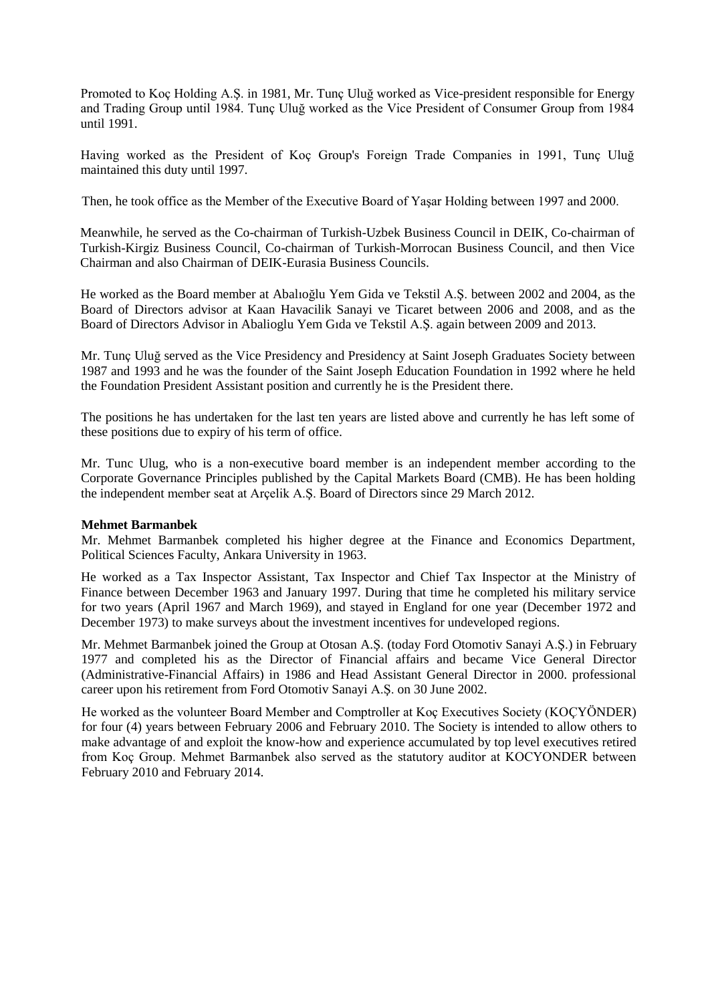Promoted to Koç Holding A.Ş. in 1981, Mr. Tunç Uluğ worked as Vice-president responsible for Energy and Trading Group until 1984. Tunç Uluğ worked as the Vice President of Consumer Group from 1984 until 1991.

Having worked as the President of Koç Group's Foreign Trade Companies in 1991, Tunç Uluğ maintained this duty until 1997.

Then, he took office as the Member of the Executive Board of Yaşar Holding between 1997 and 2000.

Meanwhile, he served as the Co-chairman of Turkish-Uzbek Business Council in DEIK, Co-chairman of Turkish-Kirgiz Business Council, Co-chairman of Turkish-Morrocan Business Council, and then Vice Chairman and also Chairman of DEIK-Eurasia Business Councils.

He worked as the Board member at Abalıoğlu Yem Gida ve Tekstil A.Ş. between 2002 and 2004, as the Board of Directors advisor at Kaan Havacilik Sanayi ve Ticaret between 2006 and 2008, and as the Board of Directors Advisor in Abalioglu Yem Gıda ve Tekstil A.Ş. again between 2009 and 2013.

Mr. Tunç Uluğ served as the Vice Presidency and Presidency at Saint Joseph Graduates Society between 1987 and 1993 and he was the founder of the Saint Joseph Education Foundation in 1992 where he held the Foundation President Assistant position and currently he is the President there.

The positions he has undertaken for the last ten years are listed above and currently he has left some of these positions due to expiry of his term of office.

Mr. Tunc Ulug, who is a non-executive board member is an independent member according to the Corporate Governance Principles published by the Capital Markets Board (CMB). He has been holding the independent member seat at Arçelik A.Ş. Board of Directors since 29 March 2012.

#### **Mehmet Barmanbek**

Mr. Mehmet Barmanbek completed his higher degree at the Finance and Economics Department, Political Sciences Faculty, Ankara University in 1963.

He worked as a Tax Inspector Assistant, Tax Inspector and Chief Tax Inspector at the Ministry of Finance between December 1963 and January 1997. During that time he completed his military service for two years (April 1967 and March 1969), and stayed in England for one year (December 1972 and December 1973) to make surveys about the investment incentives for undeveloped regions.

Mr. Mehmet Barmanbek joined the Group at Otosan A.Ş. (today Ford Otomotiv Sanayi A.Ş.) in February 1977 and completed his as the Director of Financial affairs and became Vice General Director (Administrative-Financial Affairs) in 1986 and Head Assistant General Director in 2000. professional career upon his retirement from Ford Otomotiv Sanayi A.Ş. on 30 June 2002.

He worked as the volunteer Board Member and Comptroller at Koç Executives Society (KOÇYÖNDER) for four (4) years between February 2006 and February 2010. The Society is intended to allow others to make advantage of and exploit the know-how and experience accumulated by top level executives retired from Koç Group. Mehmet Barmanbek also served as the statutory auditor at KOCYONDER between February 2010 and February 2014.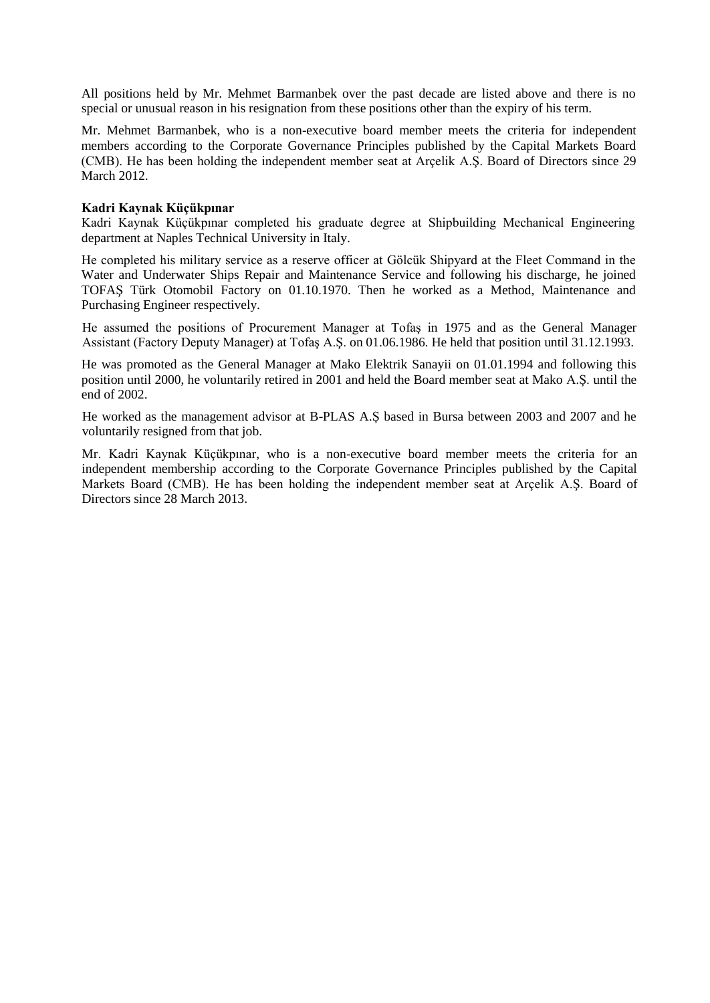All positions held by Mr. Mehmet Barmanbek over the past decade are listed above and there is no special or unusual reason in his resignation from these positions other than the expiry of his term.

Mr. Mehmet Barmanbek, who is a non-executive board member meets the criteria for independent members according to the Corporate Governance Principles published by the Capital Markets Board (CMB). He has been holding the independent member seat at Arçelik A.Ş. Board of Directors since 29 March 2012.

#### **Kadri Kaynak Küçükpınar**

Kadri Kaynak Küçükpınar completed his graduate degree at Shipbuilding Mechanical Engineering department at Naples Technical University in Italy.

He completed his military service as a reserve officer at Gölcük Shipyard at the Fleet Command in the Water and Underwater Ships Repair and Maintenance Service and following his discharge, he joined TOFAŞ Türk Otomobil Factory on 01.10.1970. Then he worked as a Method, Maintenance and Purchasing Engineer respectively.

He assumed the positions of Procurement Manager at Tofaş in 1975 and as the General Manager Assistant (Factory Deputy Manager) at Tofaş A.Ş. on 01.06.1986. He held that position until 31.12.1993.

He was promoted as the General Manager at Mako Elektrik Sanayii on 01.01.1994 and following this position until 2000, he voluntarily retired in 2001 and held the Board member seat at Mako A.Ş. until the end of 2002.

He worked as the management advisor at B-PLAS A.Ş based in Bursa between 2003 and 2007 and he voluntarily resigned from that job.

Mr. Kadri Kaynak Küçükpınar, who is a non-executive board member meets the criteria for an independent membership according to the Corporate Governance Principles published by the Capital Markets Board (CMB). He has been holding the independent member seat at Arçelik A.Ş. Board of Directors since 28 March 2013.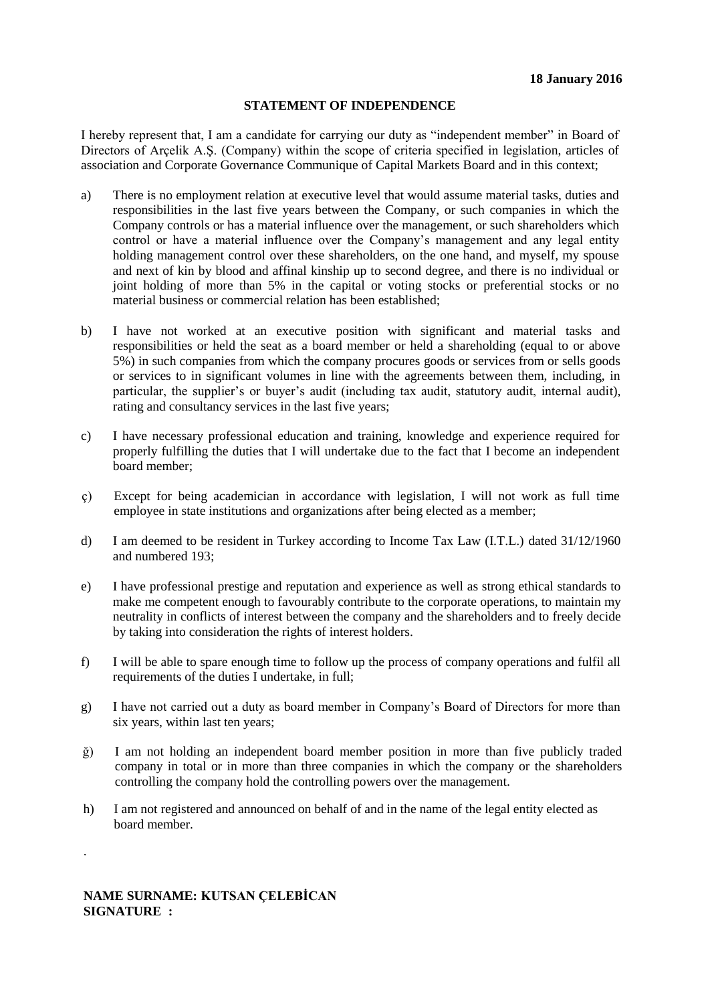I hereby represent that, I am a candidate for carrying our duty as "independent member" in Board of Directors of Arçelik A.Ş. (Company) within the scope of criteria specified in legislation, articles of association and Corporate Governance Communique of Capital Markets Board and in this context;

- a) There is no employment relation at executive level that would assume material tasks, duties and responsibilities in the last five years between the Company, or such companies in which the Company controls or has a material influence over the management, or such shareholders which control or have a material influence over the Company's management and any legal entity holding management control over these shareholders, on the one hand, and myself, my spouse and next of kin by blood and affinal kinship up to second degree, and there is no individual or joint holding of more than 5% in the capital or voting stocks or preferential stocks or no material business or commercial relation has been established;
- b) I have not worked at an executive position with significant and material tasks and responsibilities or held the seat as a board member or held a shareholding (equal to or above 5%) in such companies from which the company procures goods or services from or sells goods or services to in significant volumes in line with the agreements between them, including, in particular, the supplier's or buyer's audit (including tax audit, statutory audit, internal audit), rating and consultancy services in the last five years;
- c) I have necessary professional education and training, knowledge and experience required for properly fulfilling the duties that I will undertake due to the fact that I become an independent board member;
- ç) Except for being academician in accordance with legislation, I will not work as full time employee in state institutions and organizations after being elected as a member;
- d) I am deemed to be resident in Turkey according to Income Tax Law (I.T.L.) dated 31/12/1960 and numbered 193;
- e) I have professional prestige and reputation and experience as well as strong ethical standards to make me competent enough to favourably contribute to the corporate operations, to maintain my neutrality in conflicts of interest between the company and the shareholders and to freely decide by taking into consideration the rights of interest holders.
- f) I will be able to spare enough time to follow up the process of company operations and fulfil all requirements of the duties I undertake, in full;
- g) I have not carried out a duty as board member in Company's Board of Directors for more than six years, within last ten years;
- ğ) I am not holding an independent board member position in more than five publicly traded company in total or in more than three companies in which the company or the shareholders controlling the company hold the controlling powers over the management.
- h) I am not registered and announced on behalf of and in the name of the legal entity elected as board member.

**NAME SURNAME: KUTSAN ÇELEBİCAN SIGNATURE :**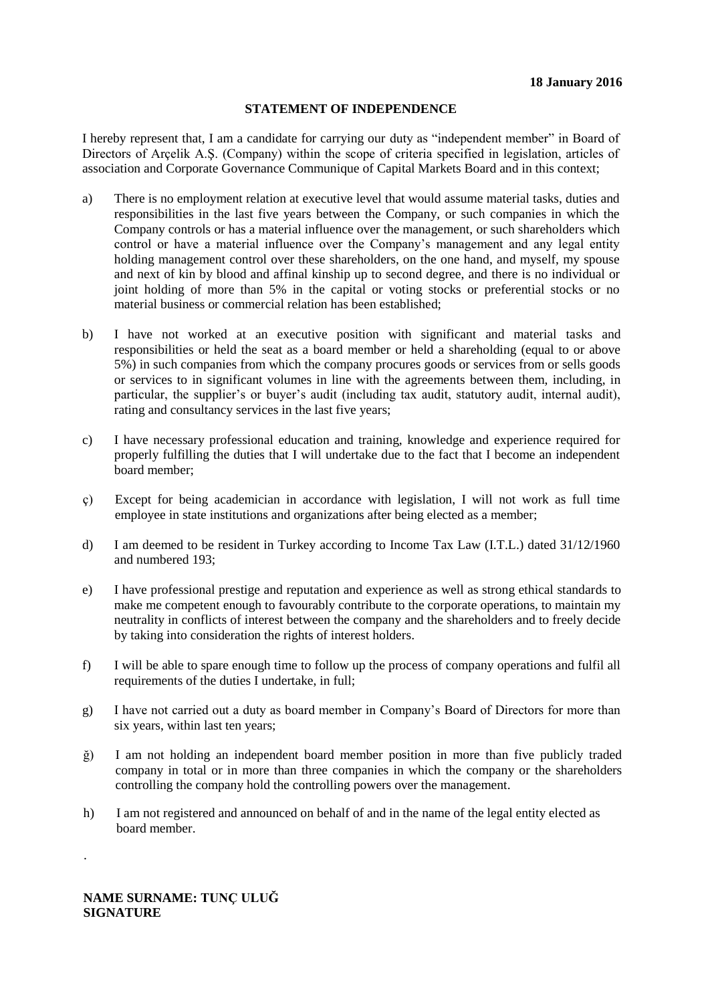I hereby represent that, I am a candidate for carrying our duty as "independent member" in Board of Directors of Arçelik A.Ş. (Company) within the scope of criteria specified in legislation, articles of association and Corporate Governance Communique of Capital Markets Board and in this context;

- a) There is no employment relation at executive level that would assume material tasks, duties and responsibilities in the last five years between the Company, or such companies in which the Company controls or has a material influence over the management, or such shareholders which control or have a material influence over the Company's management and any legal entity holding management control over these shareholders, on the one hand, and myself, my spouse and next of kin by blood and affinal kinship up to second degree, and there is no individual or joint holding of more than 5% in the capital or voting stocks or preferential stocks or no material business or commercial relation has been established;
- b) I have not worked at an executive position with significant and material tasks and responsibilities or held the seat as a board member or held a shareholding (equal to or above 5%) in such companies from which the company procures goods or services from or sells goods or services to in significant volumes in line with the agreements between them, including, in particular, the supplier's or buyer's audit (including tax audit, statutory audit, internal audit), rating and consultancy services in the last five years;
- c) I have necessary professional education and training, knowledge and experience required for properly fulfilling the duties that I will undertake due to the fact that I become an independent board member;
- ç) Except for being academician in accordance with legislation, I will not work as full time employee in state institutions and organizations after being elected as a member;
- d) I am deemed to be resident in Turkey according to Income Tax Law (I.T.L.) dated 31/12/1960 and numbered 193;
- e) I have professional prestige and reputation and experience as well as strong ethical standards to make me competent enough to favourably contribute to the corporate operations, to maintain my neutrality in conflicts of interest between the company and the shareholders and to freely decide by taking into consideration the rights of interest holders.
- f) I will be able to spare enough time to follow up the process of company operations and fulfil all requirements of the duties I undertake, in full;
- g) I have not carried out a duty as board member in Company's Board of Directors for more than six years, within last ten years;
- ğ) I am not holding an independent board member position in more than five publicly traded company in total or in more than three companies in which the company or the shareholders controlling the company hold the controlling powers over the management.
- h) I am not registered and announced on behalf of and in the name of the legal entity elected as board member.

**NAME SURNAME: TUNÇ ULUĞ SIGNATURE**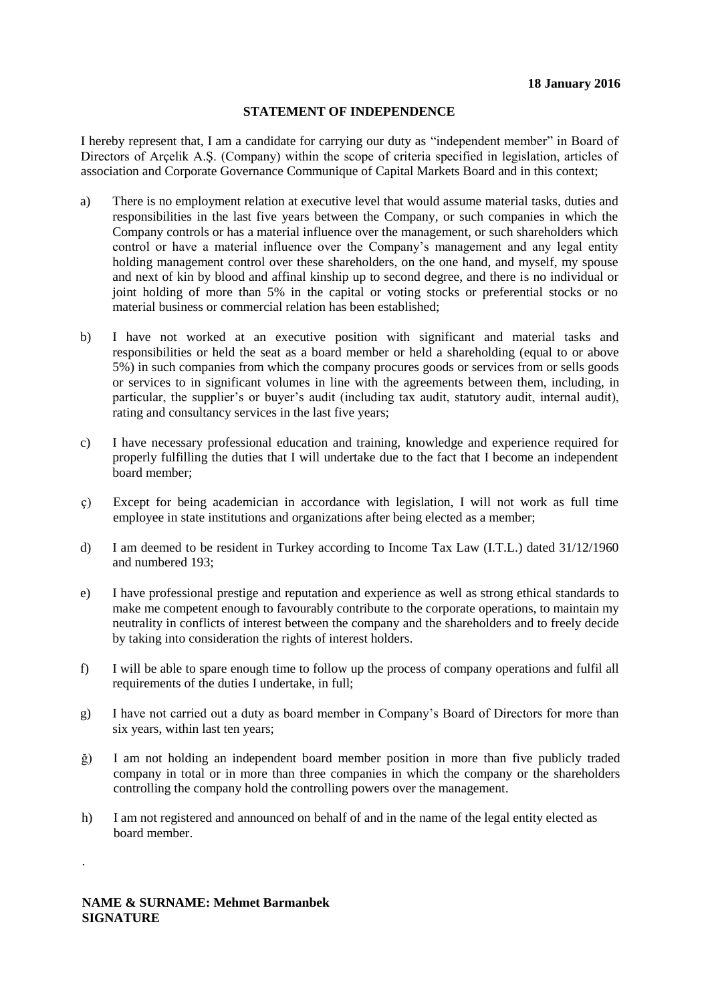I hereby represent that, I am a candidate for carrying our duty as "independent member" in Board of Directors of Arçelik A.Ş. (Company) within the scope of criteria specified in legislation, articles of association and Corporate Governance Communique of Capital Markets Board and in this context;

- a) There is no employment relation at executive level that would assume material tasks, duties and responsibilities in the last five years between the Company, or such companies in which the Company controls or has a material influence over the management, or such shareholders which control or have a material influence over the Company's management and any legal entity holding management control over these shareholders, on the one hand, and myself, my spouse and next of kin by blood and affinal kinship up to second degree, and there is no individual or joint holding of more than 5% in the capital or voting stocks or preferential stocks or no material business or commercial relation has been established;
- b) I have not worked at an executive position with significant and material tasks and responsibilities or held the seat as a board member or held a shareholding (equal to or above 5%) in such companies from which the company procures goods or services from or sells goods or services to in significant volumes in line with the agreements between them, including, in particular, the supplier's or buyer's audit (including tax audit, statutory audit, internal audit), rating and consultancy services in the last five years;
- c) I have necessary professional education and training, knowledge and experience required for properly fulfilling the duties that I will undertake due to the fact that I become an independent board member;
- ç) Except for being academician in accordance with legislation, I will not work as full time employee in state institutions and organizations after being elected as a member;
- d) I am deemed to be resident in Turkey according to Income Tax Law (I.T.L.) dated 31/12/1960 and numbered 193;
- e) I have professional prestige and reputation and experience as well as strong ethical standards to make me competent enough to favourably contribute to the corporate operations, to maintain my neutrality in conflicts of interest between the company and the shareholders and to freely decide by taking into consideration the rights of interest holders.
- f) I will be able to spare enough time to follow up the process of company operations and fulfil all requirements of the duties I undertake, in full;
- g) I have not carried out a duty as board member in Company's Board of Directors for more than six years, within last ten years;
- ğ) I am not holding an independent board member position in more than five publicly traded company in total or in more than three companies in which the company or the shareholders controlling the company hold the controlling powers over the management.
- h) I am not registered and announced on behalf of and in the name of the legal entity elected as board member.

**NAME & SURNAME: Mehmet Barmanbek SIGNATURE**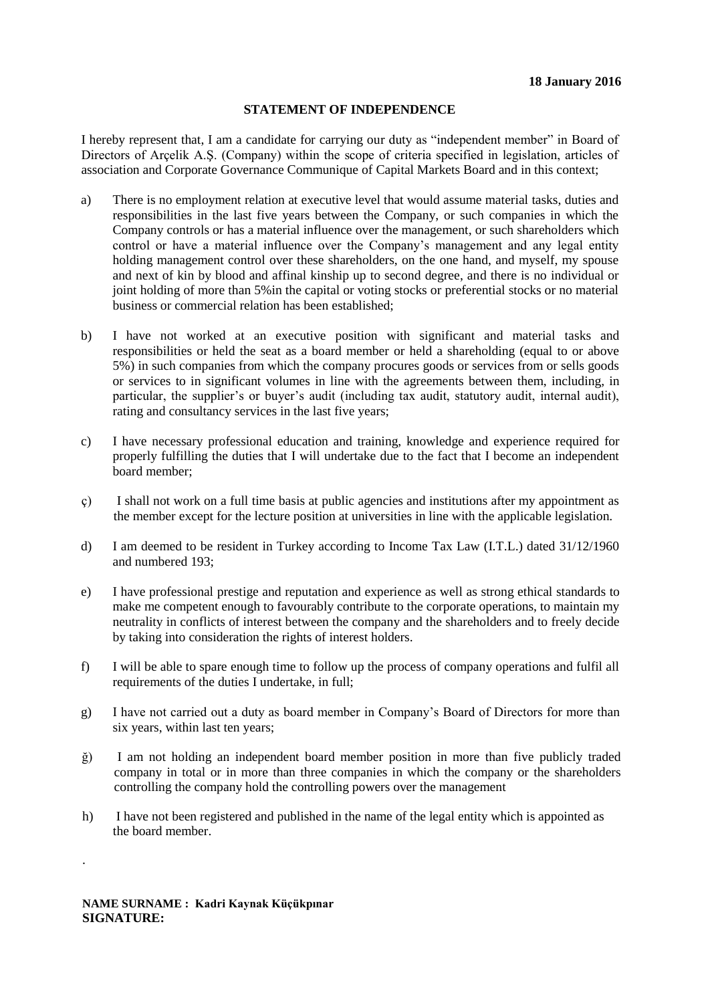I hereby represent that, I am a candidate for carrying our duty as "independent member" in Board of Directors of Arçelik A.Ş. (Company) within the scope of criteria specified in legislation, articles of association and Corporate Governance Communique of Capital Markets Board and in this context;

- a) There is no employment relation at executive level that would assume material tasks, duties and responsibilities in the last five years between the Company, or such companies in which the Company controls or has a material influence over the management, or such shareholders which control or have a material influence over the Company's management and any legal entity holding management control over these shareholders, on the one hand, and myself, my spouse and next of kin by blood and affinal kinship up to second degree, and there is no individual or joint holding of more than 5%in the capital or voting stocks or preferential stocks or no material business or commercial relation has been established;
- b) I have not worked at an executive position with significant and material tasks and responsibilities or held the seat as a board member or held a shareholding (equal to or above 5%) in such companies from which the company procures goods or services from or sells goods or services to in significant volumes in line with the agreements between them, including, in particular, the supplier's or buyer's audit (including tax audit, statutory audit, internal audit), rating and consultancy services in the last five years;
- c) I have necessary professional education and training, knowledge and experience required for properly fulfilling the duties that I will undertake due to the fact that I become an independent board member;
- ç) I shall not work on a full time basis at public agencies and institutions after my appointment as the member except for the lecture position at universities in line with the applicable legislation.
- d) I am deemed to be resident in Turkey according to Income Tax Law (I.T.L.) dated 31/12/1960 and numbered 193;
- e) I have professional prestige and reputation and experience as well as strong ethical standards to make me competent enough to favourably contribute to the corporate operations, to maintain my neutrality in conflicts of interest between the company and the shareholders and to freely decide by taking into consideration the rights of interest holders.
- f) I will be able to spare enough time to follow up the process of company operations and fulfil all requirements of the duties I undertake, in full;
- g) I have not carried out a duty as board member in Company's Board of Directors for more than six years, within last ten years;
- ğ) I am not holding an independent board member position in more than five publicly traded company in total or in more than three companies in which the company or the shareholders controlling the company hold the controlling powers over the management
- h) I have not been registered and published in the name of the legal entity which is appointed as the board member.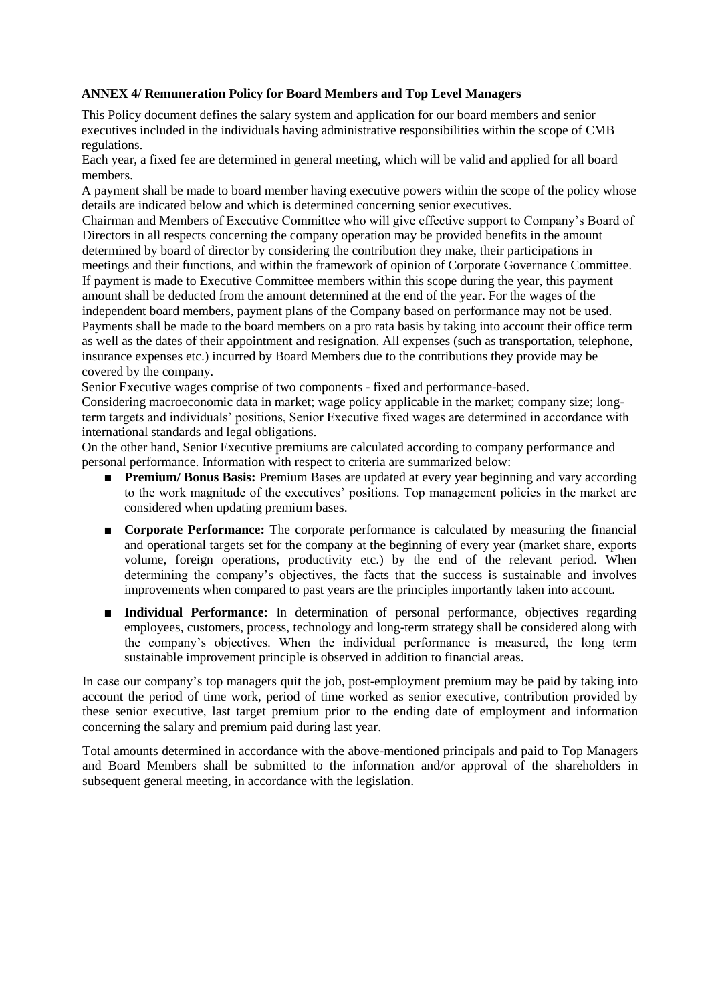#### **ANNEX 4/ Remuneration Policy for Board Members and Top Level Managers**

This Policy document defines the salary system and application for our board members and senior executives included in the individuals having administrative responsibilities within the scope of CMB regulations.

Each year, a fixed fee are determined in general meeting, which will be valid and applied for all board members.

A payment shall be made to board member having executive powers within the scope of the policy whose details are indicated below and which is determined concerning senior executives.

Chairman and Members of Executive Committee who will give effective support to Company's Board of Directors in all respects concerning the company operation may be provided benefits in the amount determined by board of director by considering the contribution they make, their participations in meetings and their functions, and within the framework of opinion of Corporate Governance Committee. If payment is made to Executive Committee members within this scope during the year, this payment amount shall be deducted from the amount determined at the end of the year. For the wages of the independent board members, payment plans of the Company based on performance may not be used. Payments shall be made to the board members on a pro rata basis by taking into account their office term as well as the dates of their appointment and resignation. All expenses (such as transportation, telephone, insurance expenses etc.) incurred by Board Members due to the contributions they provide may be covered by the company.

Senior Executive wages comprise of two components - fixed and performance-based.

Considering macroeconomic data in market; wage policy applicable in the market; company size; longterm targets and individuals' positions, Senior Executive fixed wages are determined in accordance with international standards and legal obligations.

On the other hand, Senior Executive premiums are calculated according to company performance and personal performance. Information with respect to criteria are summarized below:

- **Premium/ Bonus Basis:** Premium Bases are updated at every year beginning and vary according to the work magnitude of the executives' positions. Top management policies in the market are considered when updating premium bases.
- **Corporate Performance:** The corporate performance is calculated by measuring the financial and operational targets set for the company at the beginning of every year (market share, exports volume, foreign operations, productivity etc.) by the end of the relevant period. When determining the company's objectives, the facts that the success is sustainable and involves improvements when compared to past years are the principles importantly taken into account.
- **Individual Performance:** In determination of personal performance, objectives regarding employees, customers, process, technology and long-term strategy shall be considered along with the company's objectives. When the individual performance is measured, the long term sustainable improvement principle is observed in addition to financial areas.

In case our company's top managers quit the job, post-employment premium may be paid by taking into account the period of time work, period of time worked as senior executive, contribution provided by these senior executive, last target premium prior to the ending date of employment and information concerning the salary and premium paid during last year.

Total amounts determined in accordance with the above-mentioned principals and paid to Top Managers and Board Members shall be submitted to the information and/or approval of the shareholders in subsequent general meeting, in accordance with the legislation.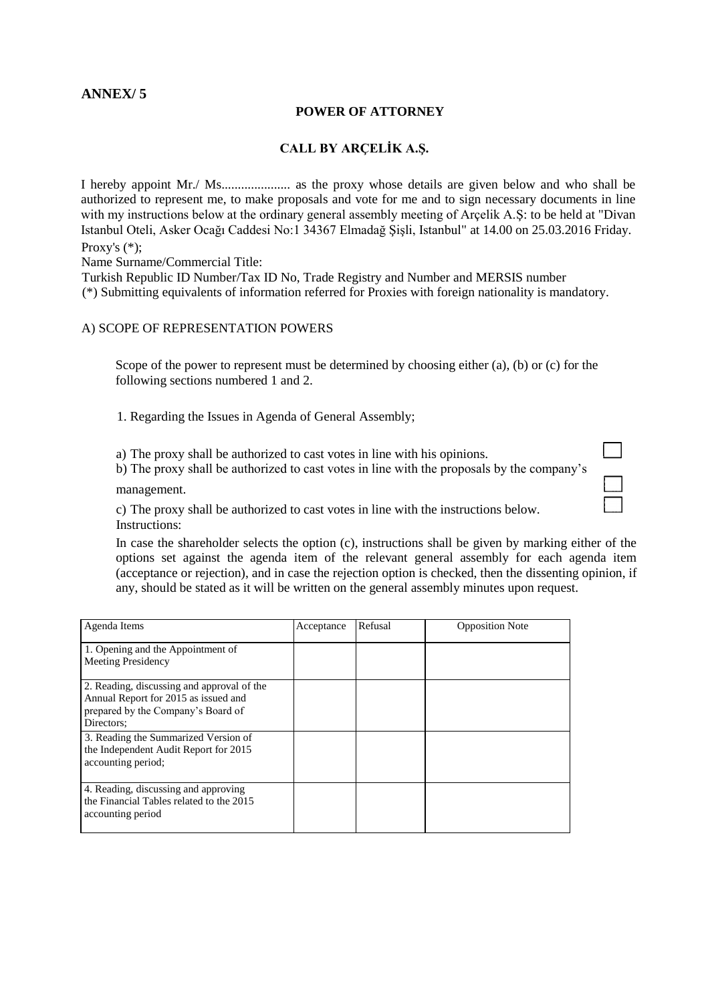## **ANNEX/ 5**

#### **POWER OF ATTORNEY**

#### **CALL BY ARÇELİK A.Ş.**

I hereby appoint Mr./ Ms..................... as the proxy whose details are given below and who shall be authorized to represent me, to make proposals and vote for me and to sign necessary documents in line with my instructions below at the ordinary general assembly meeting of Arçelik A.Ş: to be held at "Divan" Istanbul Oteli, Asker Ocağı Caddesi No:1 34367 Elmadağ Şişli, Istanbul" at 14.00 on 25.03.2016 Friday. Proxy's (\*);

Name Surname/Commercial Title:

Turkish Republic ID Number/Tax ID No, Trade Registry and Number and MERSIS number (\*) Submitting equivalents of information referred for Proxies with foreign nationality is mandatory.

#### A) SCOPE OF REPRESENTATION POWERS

Scope of the power to represent must be determined by choosing either (a), (b) or (c) for the following sections numbered 1 and 2.

1. Regarding the Issues in Agenda of General Assembly;

a) The proxy shall be authorized to cast votes in line with his opinions.

b) The proxy shall be authorized to cast votes in line with the proposals by the company's management.

c) The proxy shall be authorized to cast votes in line with the instructions below. Instructions:

In case the shareholder selects the option (c), instructions shall be given by marking either of the options set against the agenda item of the relevant general assembly for each agenda item (acceptance or rejection), and in case the rejection option is checked, then the dissenting opinion, if any, should be stated as it will be written on the general assembly minutes upon request.

| Agenda Items                                                                                                                           | Acceptance | Refusal | <b>Opposition Note</b> |
|----------------------------------------------------------------------------------------------------------------------------------------|------------|---------|------------------------|
| 1. Opening and the Appointment of<br><b>Meeting Presidency</b>                                                                         |            |         |                        |
| 2. Reading, discussing and approval of the<br>Annual Report for 2015 as issued and<br>prepared by the Company's Board of<br>Directors: |            |         |                        |
| 3. Reading the Summarized Version of<br>the Independent Audit Report for 2015<br>accounting period;                                    |            |         |                        |
| 4. Reading, discussing and approving<br>the Financial Tables related to the 2015<br>accounting period                                  |            |         |                        |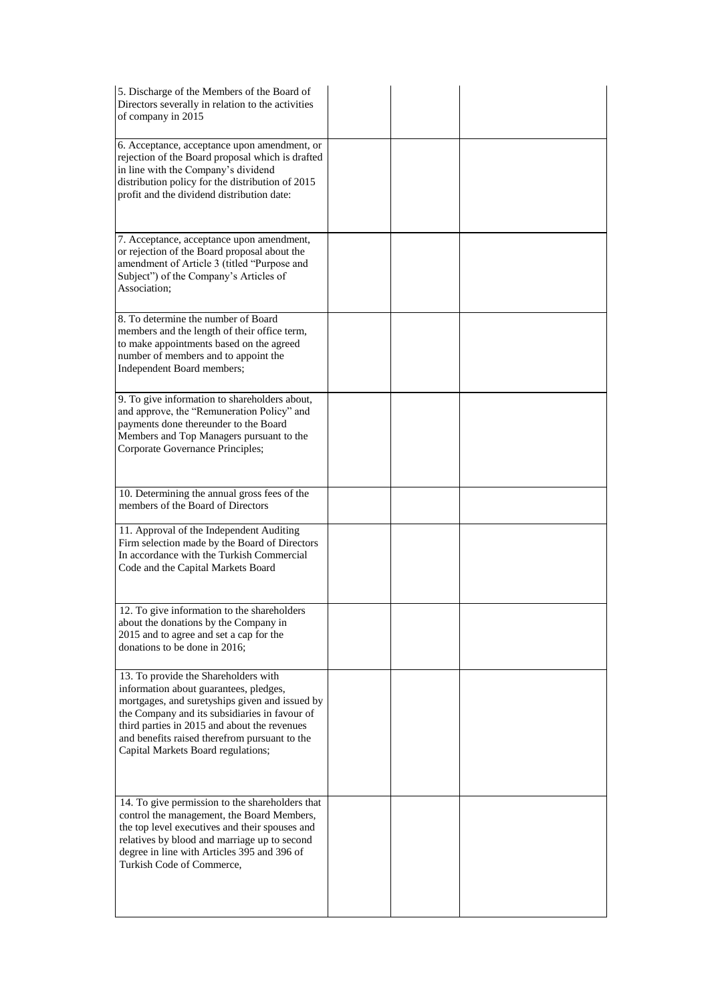| 5. Discharge of the Members of the Board of<br>Directors severally in relation to the activities<br>of company in 2015                                                                                                                                                                                                   |  |  |
|--------------------------------------------------------------------------------------------------------------------------------------------------------------------------------------------------------------------------------------------------------------------------------------------------------------------------|--|--|
| 6. Acceptance, acceptance upon amendment, or<br>rejection of the Board proposal which is drafted<br>in line with the Company's dividend<br>distribution policy for the distribution of 2015<br>profit and the dividend distribution date:                                                                                |  |  |
| 7. Acceptance, acceptance upon amendment,<br>or rejection of the Board proposal about the<br>amendment of Article 3 (titled "Purpose and<br>Subject") of the Company's Articles of<br>Association;                                                                                                                       |  |  |
| 8. To determine the number of Board<br>members and the length of their office term,<br>to make appointments based on the agreed<br>number of members and to appoint the<br>Independent Board members;                                                                                                                    |  |  |
| 9. To give information to shareholders about,<br>and approve, the "Remuneration Policy" and<br>payments done thereunder to the Board<br>Members and Top Managers pursuant to the<br>Corporate Governance Principles;                                                                                                     |  |  |
| 10. Determining the annual gross fees of the<br>members of the Board of Directors                                                                                                                                                                                                                                        |  |  |
| 11. Approval of the Independent Auditing<br>Firm selection made by the Board of Directors<br>In accordance with the Turkish Commercial<br>Code and the Capital Markets Board                                                                                                                                             |  |  |
| 12. To give information to the shareholders<br>about the donations by the Company in<br>2015 and to agree and set a cap for the<br>donations to be done in 2016;                                                                                                                                                         |  |  |
| 13. To provide the Shareholders with<br>information about guarantees, pledges,<br>mortgages, and suretyships given and issued by<br>the Company and its subsidiaries in favour of<br>third parties in 2015 and about the revenues<br>and benefits raised therefrom pursuant to the<br>Capital Markets Board regulations; |  |  |
| 14. To give permission to the shareholders that<br>control the management, the Board Members,<br>the top level executives and their spouses and<br>relatives by blood and marriage up to second<br>degree in line with Articles 395 and 396 of<br>Turkish Code of Commerce,                                              |  |  |